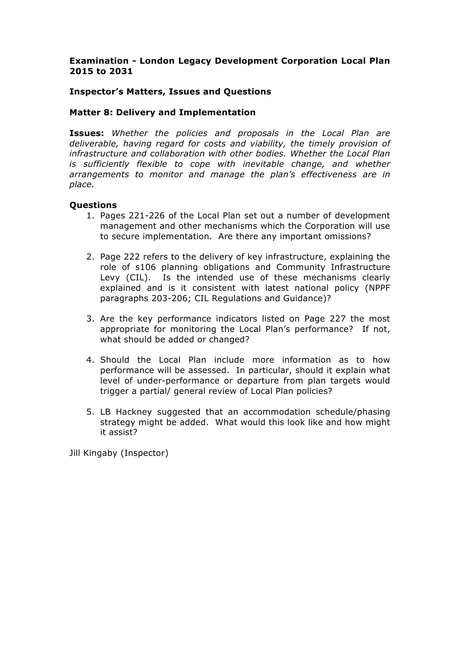## **Examination - London Legacy Development Corporation Local Plan 2015 to 2031**

## **Inspector's Matters, Issues and Questions**

### **Matter 8: Delivery and Implementation**

**Issues:** *Whether the policies and proposals in the Local Plan are deliverable, having regard for costs and viability, the timely provision of infrastructure and collaboration with other bodies. Whether the Local Plan is sufficiently flexible to cope with inevitable change, and whether arrangements to monitor and manage the plan's effectiveness are in place.*

#### **Questions**

- 1. Pages 221-226 of the Local Plan set out a number of development management and other mechanisms which the Corporation will use to secure implementation. Are there any important omissions?
- 2. Page 222 refers to the delivery of key infrastructure, explaining the role of s106 planning obligations and Community Infrastructure Levy (CIL). Is the intended use of these mechanisms clearly explained and is it consistent with latest national policy (NPPF paragraphs 203-206; CIL Regulations and Guidance)?
- 3. Are the key performance indicators listed on Page 227 the most appropriate for monitoring the Local Plan's performance? If not, what should be added or changed?
- 4. Should the Local Plan include more information as to how performance will be assessed. In particular, should it explain what level of under-performance or departure from plan targets would trigger a partial/ general review of Local Plan policies?
- 5. LB Hackney suggested that an accommodation schedule/phasing strategy might be added. What would this look like and how might it assist?

Jill Kingaby (Inspector)